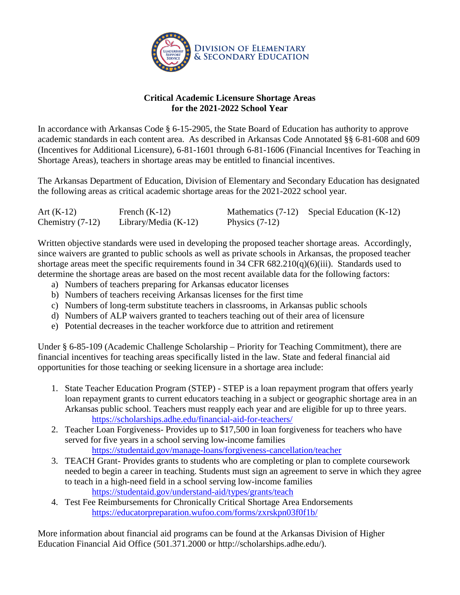

## **Critical Academic Licensure Shortage Areas for the 2021-2022 School Year**

In accordance with Arkansas Code § 6-15-2905, the State Board of Education has authority to approve academic standards in each content area. As described in Arkansas Code Annotated §§ 6-81-608 and 609 (Incentives for Additional Licensure), 6-81-1601 through 6-81-1606 (Financial Incentives for Teaching in Shortage Areas), teachers in shortage areas may be entitled to financial incentives.

The Arkansas Department of Education, Division of Elementary and Secondary Education has designated the following areas as critical academic shortage areas for the 2021-2022 school year.

| Art $(K-12)$       | French $(K-12)$        |                  | Mathematics $(7-12)$ Special Education $(K-12)$ |
|--------------------|------------------------|------------------|-------------------------------------------------|
| Chemistry $(7-12)$ | Library/Media $(K-12)$ | Physics $(7-12)$ |                                                 |

Written objective standards were used in developing the proposed teacher shortage areas. Accordingly, since waivers are granted to public schools as well as private schools in Arkansas, the proposed teacher shortage areas meet the specific requirements found in 34 CFR 682.210(q)(6)(iii). Standards used to determine the shortage areas are based on the most recent available data for the following factors:

- a) Numbers of teachers preparing for Arkansas educator licenses
- b) Numbers of teachers receiving Arkansas licenses for the first time
- c) Numbers of long-term substitute teachers in classrooms, in Arkansas public schools
- d) Numbers of ALP waivers granted to teachers teaching out of their area of licensure
- e) Potential decreases in the teacher workforce due to attrition and retirement

Under § 6-85-109 (Academic Challenge Scholarship – Priority for Teaching Commitment), there are financial incentives for teaching areas specifically listed in the law. State and federal financial aid opportunities for those teaching or seeking licensure in a shortage area include:

- 1. State Teacher Education Program (STEP) STEP is a loan repayment program that offers yearly loan repayment grants to current educators teaching in a subject or geographic shortage area in an Arkansas public school. Teachers must reapply each year and are eligible for up to three years. <https://scholarships.adhe.edu/financial-aid-for-teachers/>
- 2. Teacher Loan Forgiveness- Provides up to \$17,500 in loan forgiveness for teachers who have served for five years in a school serving low-income families <https://studentaid.gov/manage-loans/forgiveness-cancellation/teacher>
- 3. TEACH Grant- Provides grants to students who are completing or plan to complete coursework needed to begin a career in teaching. Students must sign an agreement to serve in which they agree to teach in a high-need field in a school serving low-income families <https://studentaid.gov/understand-aid/types/grants/teach>
- 4. Test Fee Reimbursements for Chronically Critical Shortage Area Endorsements <https://educatorpreparation.wufoo.com/forms/zxrskpn03f0f1b/>

More information about financial aid programs can be found at the Arkansas Division of Higher Education Financial Aid Office (501.371.2000 or [http://scholarships.adhe.edu/\)](http://scholarships.adhe.edu/).